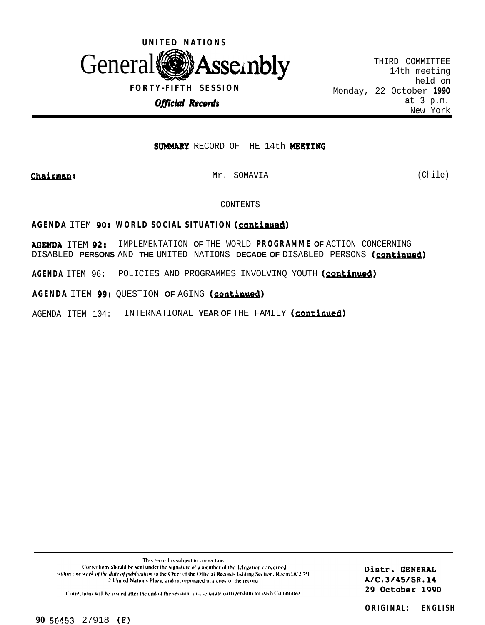

THIRD COMMITTEE 14th meeting held on Monday, 22 October **1990** New York

# **SUMMARY** RECORD OF THE 14th MEETING

*Chairman:* Mr. SOMAVIA (Chile)

CONTENTS

# **AGENDA ITEM 90: WORLD SOCIAL SITUATION (continued)**

AOENDA ITEM 92: IMPLEMENTATION **OF** THE WORLD **PROGRAMME OF** ACTION CONCERNING DISABLED **PERSONS** AND **THE** UNITED NATIONS **DECADE OF** DISABLED PERSONS (m) DISABLED **PERSONS** AND **THE** UNITED NATIONS **DECADE OF** DISABLED PERSONS (continued)<br>AGENDA ITEM 96: POLICIES AND PROGRAMMES INVOLVINQ YOUTH (continued)

AGENDA ITEM 99: QUESTION OF AGING (continued)

AGENDA ITEM 104: INTERNATIONAL YEAR OF THE FAMILY (continued)

This record is subject to correction Corrections should be sent under the signature of a member of the delegation concerned. within one week of the date of publication to the Chief of the Official Records Editing Section, Room DC2 750. 2 United Nations Plaza, and incorporated in a copy of the record

Distr. GENERAL A/C.3/45/SR.14 29 October 1990

Corrections will be issued after the end of the session, in a separate corrigendum for each Committee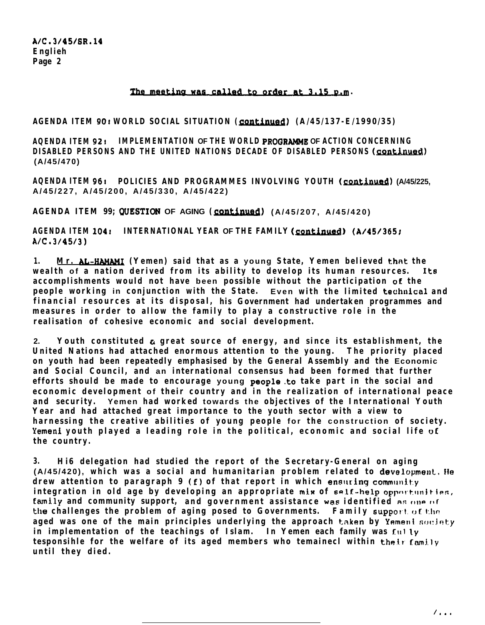## The meeting was called to order at 3.15 p.m.

**AGENDA ITEM 901 WORLD SOCIAL SITUATION ( conefnued) (A/45/137-E/1990/35)**

**AQENDA ITEM 92r IMPLEMENTATION OF THE WORLD PROQRAMME OF ACTION CONCERNING DISABLED PERSONS AND THE UNITED NATIONS DECADE OF DISABLED PERSONS (continued) (A/45/470)**

**AQENDA ITEM 96: POLICIES AND PROGRAMMES INVOLVING YOUTH (continued) (A/45/225, A/45/227, A/45/200, A/45/330, A/45/422)**

**AGENDA ITEM 99; QUESTION OF AGING (<u>continued</u>) (A/45/207, A/45/420)<br>AGENDA ITEM 104: INTERNATIONAL YEAR OF THE FAMILY (<u>continued)</u> (A/45/365;<br>A/C,3/45/3) A/C. 3/45/j)**

**1. Mr. AL-W (Yemen) said that as a young State, Yemen believed that the wealth of a nation derived from its ability to develop its human resources. It6** accomplishments would not have been possible without the participation of the **people working in conjunction with the State.** Even with the limited technical and **financial resources at its disposal, his Government had undertaken programmes and measures in order to allow the family to play a constructive role in the realisation of cohesive economic and social development.**

**2. Youth constituted e great source of energy, and since its establishment, the United Nations had attached enormous attention to the young. The priority placed on youth had been repeatedly emphasised by the General Assembly and the Economic and Social Council, and an international consensus had been formed that further efforts should be made to encourage young people.to take part in the social and economic development of their country and in the realization of international peace and security. Yemen had worked towards the objectives of the International Youth Year and had attached great importance to the youth sector with a view to harnessing the creative abilities of young people for the construction of society. Yemeni youth played a leading role in the political, economic and social life oE the country.**

**3. Hi6 delegation had studied the report of the Secretary-General on aging (A/45/420), which was a social and humanitarian problem related to developmenl. He drew attention to paragraph 9 (f) of that report in which ensuring community** integration in old age by developing an appropriate mix of self-help opportunities, family and community support, and government assistance was identified as one of **the challenges the problem of aging posed to Governments. Family support of the** aged was one of the main principles underlying the approach taken by Yemeni society **in implementation of the teachings of Islam. In Yemen each family was f.111 ly tesponsihle for the welfare of its aged members who temainecl within their family until they died.**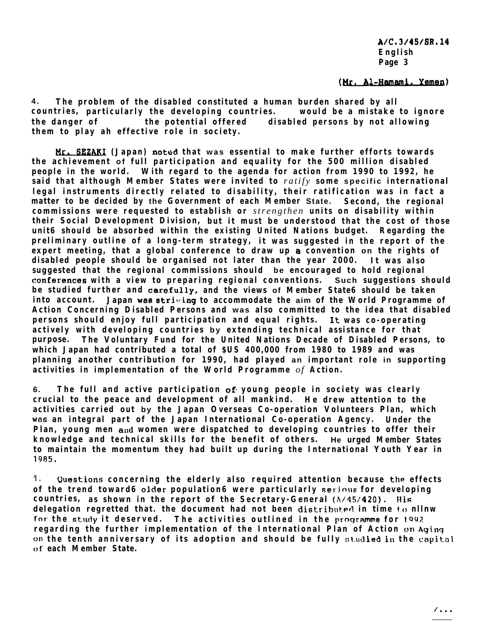(Mr. Al-Hamami, Yemen)

**4 . The problem of the disabled constituted a human burden shared by all countries, particularly the developing countries. would be a mistake to ignore the danger of the potential offered disabled persons by not allowing them to play ah effective role in society.**

**MLSE (Japan) noted that was essential to make further efforts towards the achievement of full participation and equality for the 500 million disabled people in the world. With regard to the agenda for action from 1990 to 1992, he said that although Member States were invited to** *ratify* **some specific international legal instruments directly related to disability, their ratification was in fact a matter to be decided by the Government of each Member State. Second, the regional commissions were requested to establish or** *strengthen* **units on disability within their Social Development Division, but it must be understood that the cost of those unit6 should be absorbed within the existing United Nations budget. Regarding the preliminary outline of a long-term strategy, it was suggested in the report of the expert meeting, that a global conference to draw up 8 convention on the rights of disabled people should be organised not later than the year 2000. It was also suggested that the regional commissions should be encouraged to hold regional conEerences with a view to preparing regional conventions. Such suggestions should be studied further and carefully, and the views of Member State6 should be taken into account.** Japan was striving to accommodate the aim of the World Programme of **Action Concerning Disabled Persons and was also committed to the idea that disabled persons should enjoy full participation and equal rights.** It **was co-operating actively with developing countries by extending technical assistance for that purpose. The Voluntary Fund for the United Nations Decade of Disabled Persons, to which Japan had contributed a total of \$US 400,000 from 1980 to 1989 and was planning another contribution for 1990, had played an important role in supporting activities in implementation of the World Programme** *of* **Action.**

**6. The full and active participation of- young people in society was clearly crucial to the peace and development of all mankind. He drew attention to the activities carried out by the Japan Overseas Co-operation Volunteers Plan, which wati an integral part of the Japan International Co-operation Agency. Under the** Plan, young men and women were dispatched to developing countries to offer their **knowledge and technical skills for the benefit of others. He urged Member States to maintain the momentum they had built up during the International Youth Year in 19R5.**

**'I . Uuestions concerning the elderly also required attention because the effects** of the trend toward6 older population6 were particularly serious for developing **countries, as shown in the report of the Secretary-General (A/45/420). lli fi delegation regretted that. the document had not been distributed in time to nllnw** for the study it deserved. The activities outlined in the programme for 1992 **regarding the further implementation of the International Plan of Action on Aging** on the tenth anniversary of its adoption and should be fully studied in the capital **of each Member State.**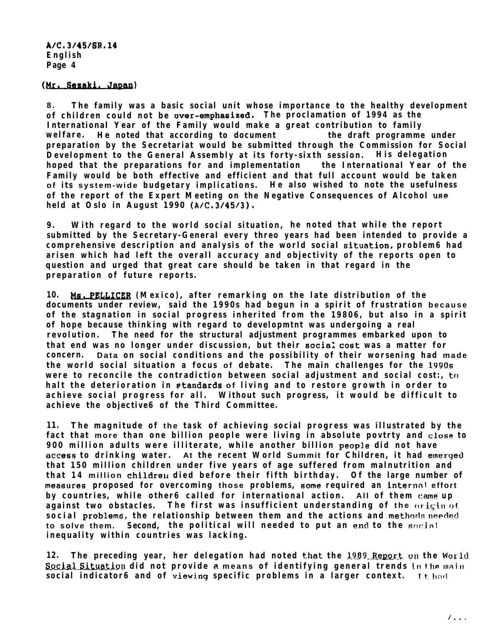**A1C.31451SR.14 English Page 4**

### *(Mr.Geaaki.Jaaan)*

**8 . The family was a basic social unit whose importance to the healthy development of children could not be over-emphasised. The proclamation of 1994 as the International Year of the Family would make a great contribution to family** welfare. He noted that according to document the draft programme under **preparation by the Secretariat would be submitted through the Commission for Social Development to the General Assembly at its forty-sixth session. His delegation hoped that the preparations for and implementation the International Year of the Family would be both effective and efficient and that full account would be taken of its system-wide budgetary implications. He also wished to note the usefulness of the report of the Expert Meeting on the Negative Consequences of Alcohol use held at Oslo in August 1990 (A/C.3/45/3).**

**9. With regard to the world social situation, he noted that while the report submitted by the Secretary-General every threo years had been intended to provide a comprehensive description and analysis of the world social oituation, problem6 had arisen which had left the overall accuracy and objectivity of the reports open to question and urged that great care should be taken in that regard in the preparation of future reports.**

10. Ms. PELLICER (Mexico), after remarking on the late distribution of the **documents under review, said the 1990s had begun in a spirit of frustration because of the stagnation in social progress inherited from the 19806, but also in a spirit of hope because thinking with regard to developmtnt was undergoing a real revolution. The need for the structural adjustment programmes embarked upon to that end was no longer under discussion, but their social covt was a matter for concern. Data on social conditions and the possibility of their worsening had made the world social situation a focus of debate. The main challenges for the lY906 were to reconcile the contradiction between social adjustment and social cost:, tr) halt the deterioration in standards of living and to restore growth in order to achieve social progress for all. Without such progress, it would be difficult to achieve the objective6 of the Third Committee.**

**11. The magnitude of the task of achieving social progress was illustrated by the fact that more than one billion people were living in absolute povtrty and cl06e to 900 million adults were illiterate, while another billion people did not have access to drinking water. At the recent World Summit for Children, it had enerqed that 150 million children under five years of age suffered from malnutrition and that 14 million children died before their fifth birthday. Of the large number of measures proposed for overcoming those problems, some required an internal effort by countries, while other6 called for international action. All of them (lame up against two obstacles. The first was insufficient understanding of the origin of social problems, the relationship between them and the actions and methods needed to solve them.** Second, the political will needed to put an end to the social **inequality within countries was lacking.**

**12.** The preceding year, her delegation had noted that the 1989 Report on the World **Social Situation did not provide a means of identifying general trends** in the main **social indicator6 and of viewing specific problems in a larger context.** It had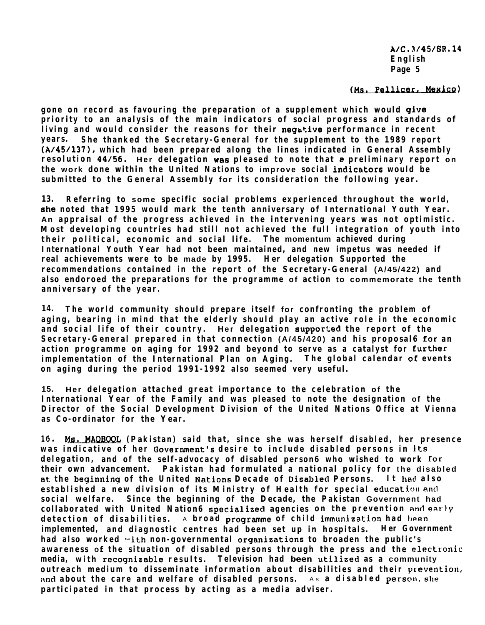(Ms. Pellicer, Mexico)

**gone on record as favouring the preparation of a supplement which would give priority to an analysis of the main indicators of social progress and standards of living and would consider the reasons for their negative performance in recent years. She thanked the Secretary-General for the supplement to the 1989 report (A/45/137), which had been prepared along the lines indicated in General Assembly resolution 44/56.** Her delegation was pleased to note that a preliminary report on **the work done within the United Nations to improve social indicetors would be submitted to the General Assembly for its consideration the following year.**

**13. Referring to some specific social problems experienced throughout the world, She noted that 1995 would mark the tenth anniversary of International Youth Year. An appraisal of the progress achieved in the intervening years was not optimistic. Most developing countries had still not achieved the full integration of youth into their political, economic and social life. The momentum achieved during International Youth Year had not been maintained, and new impetus was needed if real achievements were to be made by 1995. Her delegation Supported the recommendations contained in the report of the Secretary-General (A/45/422) and also endoroed the preparations for the programme of action to commemorate the tenth anniversary of the year.**

**14. The world community should prepare itself for confronting the problem of aging, bearing in mind that the elderly should play an active role in the economic and social life of their country. Her delegation suppor:;ed the report of the Secretary-General prepared in that connection (A/45/420) and his proposal6 for an action programme on aging for 1992 and beyond to serve as a catalyst for Eurther implementation of the International Plan on Aging. The global calendar oE events on aging during the period 1991-1992 also seemed very useful.**

**15. Her delegation attached great importance to the celebration of the International Year of the Family and was pleased to note the designation of the Director of the Social Development Division of the United Nations Office at Vienna as Co-ordinator for the Year.**

**16. t@.,JIAQE@j& (Pakistan) said that, since she was herself disabled, her presence** was indicative of her Government's desire to include disabled persons in its **delegation, and of the self-advocacy of disabled person6 who wished to work for their own advancement. Pakistan had formulated a national policy for the disabled at the beginninq of the United** Nation6 **Decade of DiSabled Persons. It 1~6~1 also established a new division of its Ministry of Health for special education and social welfare. Since the beginning of the Decade, the Pakistan Government had collaborated with United Nation6 specialized agencies on the prevention and early detection of disabilities.** A **broad** programme of child immunization had been **implemented, and diagnostic centres had been set up in hospitals. Her Government** had also worked with non-governmental organizations to broaden the public's awareness of the situation of disabled persons through the press and the electronic **media, with recognizable results. Television had been utilized as a community** outreach medium to disseminate information about disabilities and their prevention, and about the care and welfare of disabled persons. As a disabled person, she **participated in that process by acting as a media adviser.**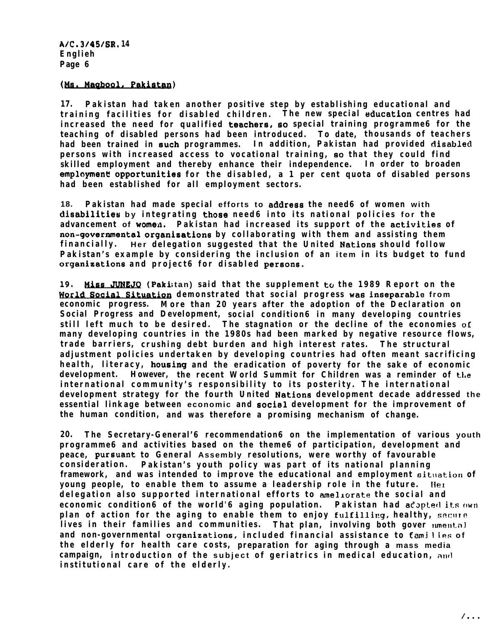**17. Pakistan had taken another positive step by establishing educational and training facilities for disabled children. The new special ttducation centres had increased the need for qualified teaCher6, 60 special training programme6 for the teaching of disabled persons had been introduced. To date, thousands of teachers had been trained in Such programmes. In addition, Pakistan had provided disabled persons with increased access to vocational training, 60 that they could find skilled employment and thereby enhance their independence. In order to broaden** employment opportunities for the disabled, a 1 per cent quota of disabled persons **had been established for all employment sectors.** Englieh<br>
Page 6<br>
(Ms. Magbool, Pakistan)<br>
17. Pakistan had take<br>
training facilities for<br>
increased the need for<br>
teaching of disabled pe<br>
had been trained in suc<br>
persons with increased<br>
skilled employment and<br>
employment

**18. Pakistan had made special efforts to address the need6 of women with disabilitfe6 by integrating those need6 into its national policies for the advancement of wome;n. Pakistan had increased its support of the activities of** non-governmental organizations by collaborating with them and assisting them **financially. Her delegation suggested that the United Nation6 should follow Pakistan's example by considering the inclusion of an item in its budget to fund organieations and project6 for disabled persons.**

19. **Miss JUNEJQ** (Pakistan) said that the supplement to the 1989 Report on the **demonstrated that social progress was inseparable from economic progress. More than 20 years after the adoption of the Declaration on Social Progress and Development, social condition6 in many developing countries still left much to be desired. The stagnation or the decline of the economies of many developing countries in the 1980s had been marked by negative resource flows, trade barriers, crushing debt burden and high interest rates. The structural adjustment policies undertaken by developing countries had often meant sacrificing health, literacy, housing and the eradication of poverty for the sake of economic development. However, the recent World Summit for Children was a reminder of the international community's responsibility to its posterity. The international development strategy for the fourth United Nation6 development decade addressed the essential linkage between economic and sociel development for the improvement of the human condition, and was therefore a promising mechanism of change.**

**20. The Secretary-General'6 recommendation6 on the implementation of various youth programme6 and activities based on the theme6 of participation, development and peace, pursuant to General Assembly resolutions, were worthy of favourable consideration. Pakistan's youth policy was part of its national planning framework, and was intended to improve the educational and employment sitrration of young people, to enable them to assume a leadership role in the future.** Her **delegation also supported international efforts to amelrvrata the social and economic condition6 of the world'6 aging population. Pakistan had adopted its own plan of action for the aging to enable them to enjoy fulfilling, healthy, secure** lives in their families and communities. That plan, involving both gover *unental* **and non-governmental organizations, included financial assistance to fami <sup>I</sup> ies of the elderly for health care costs, preparation for aging through a mass media campaign, introduction of the subject of geriatrics in medical education, aurl institutional care of the elderly.**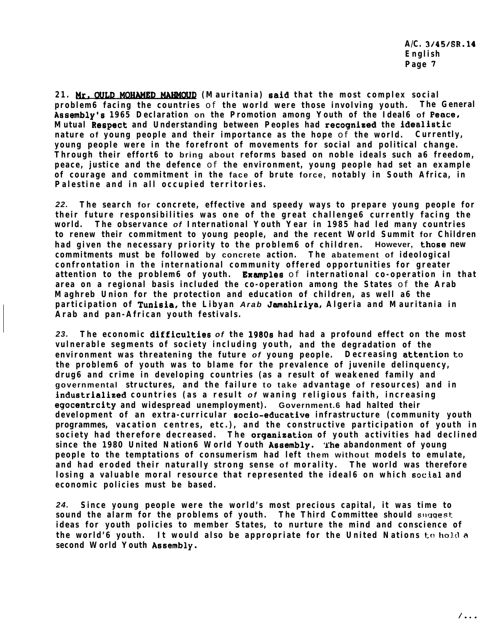**A/C. 3I45168.14 English Page 7**

**21. Mr. OULD MOHAMED MAHMOUD** (Mauritania) said that the most complex social<br>Page 7<br>Problem6 facing the countries **of the world were those involving youth.** The General **ASSembly'S 1965 Declaration on the Promotion among Youth of the Ideal6 of Peace, Mutual Respect and Understanding between Peoples had recognieed the idealistic nature of young people and their importance as the hope** of **the world. Currently, young people were in the forefront of movements for social and political change. Through their effort6 to bring about reforms based on noble ideals such a6 freedom, peace, justice and the defence** of **the environment, young people had set an example of courage and commitment in the face of brute force, notably in South Africa, in Palestine and in all occupied territories.**

*22.* **The search for concrete, effective and speedy ways to prepare young people for their future responsibilities was one of the great challenge6 currently facing the world. The observance** *of* **International Youth Year in 1985 had led many countries to renew their commitment to young people, and the recent World Summit for Children had given the necessary priority to the problem6 of children. However, those new commitments must be followed by concrete action. The abatement of ideological confrontation in the international community offered opportunities for greater** attention to the problem6 of youth. Examples of international co-operation in that **area on a regional basis included the co-operation among the States** of **the Arab Maghreb Union for the protection and education of children, as well a6 the participation of Tunisia, the Libyan** *Arab* **Jamahiriya, Algeria and Mauritania in Arab and pan-African youth festivals.**

*23.* **The economic difficulties** *of* **the 19806 had had a profound effect on the most vulnerable segments of society including youth, and the degradation of the environment was threatening the future** *of* **young people. Decreasing attentiOn t0 the problem6 of youth was to blame for the prevalence of juvenile delinquency, drug6 and crime in developing countries (as a result of weakened family and governmental structures, and the failure to take advantage of resources) and in industrialized countries (as a result** *of* **waning religious faith, increasing egocentrcity and widespread unemployment). Government.6 had halted their development of an extra-curricular SOCiO-educative infrastructure (community youth programmes, vacation centres, etc.), and the constructive participation of youth in society had therefore decreased. The organization of youth activities had declined since the 1980 United Nation6 World Youth Assembly. The abandonment of young people to the temptations of consumerism had left them without models to emulate, and had eroded their naturally strong sense of morality. The world was therefore** losing a valuable moral resource that represented the ideal6 on which social and **economic policies must be based.**

*24.* **Since young people were the world's most precious capital, it was time to** sound the alarm for the problems of youth. The Third Committee should suggest **ideas for youth policies to member States, to nurture the mind and conscience of the world'6 youth.** It would also be appropriate for the United Nations to hold a **second World Youth Assembly.**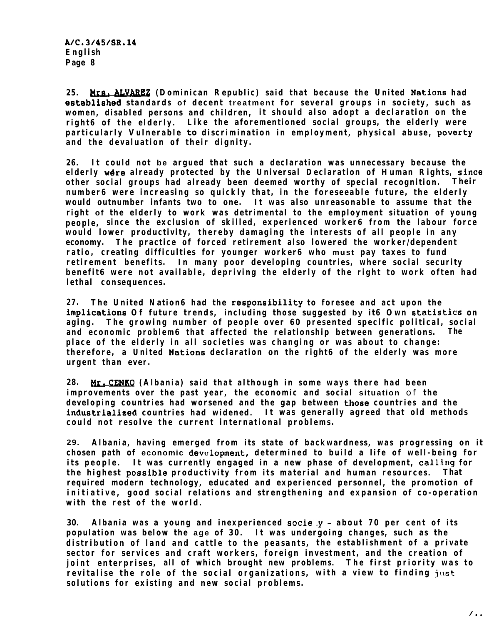**25. Bra. AtVAREZ (Dominican Republic) said that because the United Nation6 had efftablished standards of decent treatment for several groups in society, such as women, disabled persons and children, it should also adopt a declaration on the right6 of the elderly. Like the aforementioned social groups, the elderly were particularly Vulnerable t0 discrimination in employment, physical abuse, poverty and the devaluation of their dignity.**

**26. It could not be argued that such a declaration was unnecessary because the elderly were already protected by the Universal Declaration of Human Rights, since other social groups had already been deemed worthy of special recognition. Their number6 were increasing so quickly that, in the foreseeable future, the elderly would outnumber infants two to one. It was also unreasonable to assume that the right of the elderly to work was detrimental to the employment situation of young people, since the exclusion of skilled, experienced worker6 from the labour force would lower productivity, thereby damaging the interests of all people in any economy. The practice of forced retirement also lowered the worker/dependent ratio, creating difficulties for younger worker6 who must pay taxes to fund retirement benefits. In many poor developing countries, where social security benefit6 were not available, depriving the elderly of the right to work often had lethal consequences.**

**27. The United Nation6 had the reSpOn6ibility to foresee and act upon the implications Of future trends, including those suggested by it6 Own statistics on aging. The growing number of people over 60 presented specific political, social and economic problem6 that affected the relationship between generations. The place of the elderly in all societies was changing or was about to change: therefore, a United Nation6 declaration on the right6 of the elderly was more urgent than ever.**

**28. Mr. CENKQ** (Albania) said that although in some ways there had been **improvements over the past year, the economic and social situation** of **the developing countries had worsened and the gap between those countries and the industrialized countries had widened. It was generally agreed that old methods could not resolve the current international problems.**

**29. Albania, having emerged from its state of backwardness, was progressing on it chosen path of economic devulopment, determined to build a life of well-being for** its people. It was currently engaged in a new phase of development, calling for **the highest possible productivity from its material and human resources. That required modern technology, educated and experienced personnel, the promotion of initiative, good social relations and strengthening and expansion of co-operation with the rest of the world.**

**30. Albania was a young and inexperienced 6ocie.y - about 70 per cent of its population was below the age of 30. It was undergoing changes, such as the distribution of land and cattle to the peasants, the establishment of a private sector for services and craft workers, foreign investment, and the creation of joint enterprises, all of which brought new problems. The first priority was to revitalise the role of the social organizations, with a view to finding just solutions for existing and new social problems.**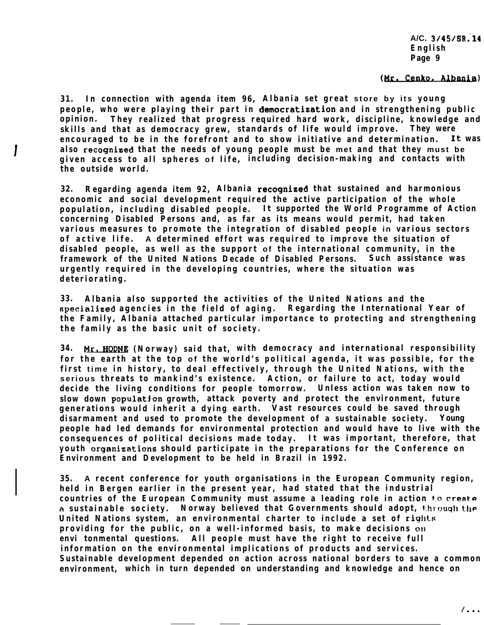#### (Mr. Cenko, Albania)

**31. In connection with agenda item 96, Albania set great store by its young people, who were playing their part in democratieation and in strengthening public opinion. They realized that progress required hard work, discipline, knowledge and skills and that as democracy grew, standards of life would improve. They were encouraged to be in the forefront and to show initiative and determination. It was also recognised that the needs of young people must be met and that they must be given access to all spheres of life, including decision-making and contacts with the outside world.**

**32. Regarding agenda item 92, Albania recognized that sustained and harmonious economic and social development required the active participation of the whole population, including disabled people. It supported the World Programme of Action concerning Disabled Persons and, as far as its means would permit, had taken various measures to promote the integration of disabled people in various sectors of active life. A determined effort was required to improve the situation of disabled people, as well as the support of the international community, in the framework of the United Nations Decade of Disabled Persons. Such assistance was urgently required in the developing countries, where the situation was deteriorating.**

**33. Albania also supported the activities of the United Nations and the specialized agencies in the field of aging. Regarding the International Year of the Family, Albania attached particular importance to protecting and strengthening the family as the basic unit of society.**

**34. Pr. H0Dlj.B (Norway) said that, with democracy and international responsibility for the earth at the top of the world's political agenda, it was possible, for the first time in history, to deal effectively, through the United Nations, with the serious threats to mankind's existence. Action, or failure to act, today would decide the living conditions for people tomorrow. Unless action was taken now to slow down populatjon growth, attack poverty and protect the environment, future generations would inherit a dying earth. Vast resources could be saved through disarmament and used to promote the development of a sustainable society. Young people had led demands for environmental protection and would have to live with the consequences of political decisions made today. It was important, therefore, that youth organizations should participate in the preparations for the Conference on Environment and Development to be held in Brazil in 1992.**

**35. A recent conference for youth organisations in the European Community region, held in Bergen earlier in the present year, had stated that the industrial countries of the European Community must assume a leading role in action t.o creel-e a sustainable society. Norway believed that Governments should adopt, through t.he United Nations system, an environmental charter to include a set of rights providing for the public, on a well-informed basis, to make decisions on envi tonmental questions. All people must have the right to receive full information on the environmental implications of products and services. Sustainable development depended on action across national borders to save a common environment, which in turn depended on understanding and knowledge and hence on**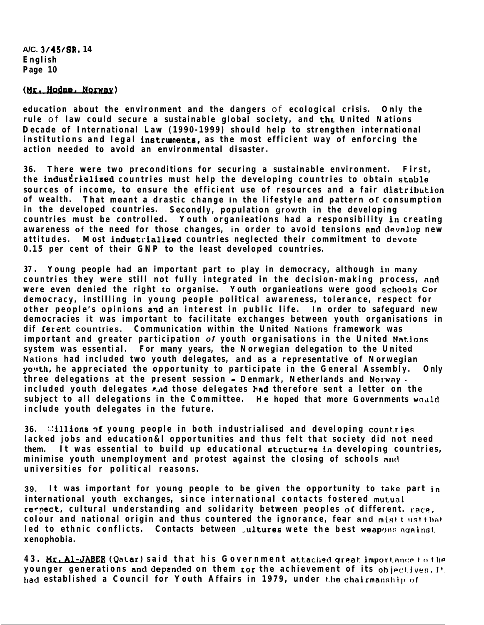(Mr. Hodne, Norway)

**education about the environment and the dangers** of **ecological crisis. Only the rule** of **law could secure a sustainable global society, and the United Nations Decade of International Law (1990-1999) should help to strengthen international** institutions and legal instruments, as the most efficient way of enforcing the **action needed to avoid an environmental disaster.**

**36. There were two preconditions for securing a sustainable environment. First,** the industrialized countries must help the developing countries to obtain stable **sources of income, to ensure the efficient use of resources and a fair clistrihution of wealth. That meant a drastic change in the lifestyle and pattern of consumption in the developed countries. Secondly, population growth in the developing countries must be controlled. Youth organieations had a responsibility in creating awareness of the need for those changes, in order to avoid tensions and develop new attitudes. Most industrialized countries neglected their commitment to devote 0.15 per cent of their GNP to the least developed countries.**

**37** <sup>l</sup> **Young people had an important part to play in democracy, although ~II many countries they were still not fully integrated in the decision-making process, and** were even denied the right to organise. Youth organieations were good schools Cor **democracy, instilling in young people political awareness, tolerance, respect for other people's opinions arid an interest in public life. In order to safeguard new democracies it was important to facilitate exchanges between youth organisations in dif fersnt countries. Communication within the United Nations framework was important and greater participation** *of* **youth organisations in the United NatJons system was essential. For many years, the Norwegian delegation to the United Nations had included two youth delegates, and as a representative of Norwegian yo!tth, he appreciated the opportunity to participate in the General Assembly. Only three delegations at the present session - Denmark, Netherlands and** *Notwwy*  **included youth delegates c,ad those delegates )rad therefore sent a letter on the** subject to all delegations in the Committee. He hoped that more Governments would **include youth delegates in the future.**

**36. :-:illions af young people in both industrialised and developing count.ries lacked jobs and education&l opportunities and thus felt that society did not need them. It was essential to build up educational etructurqs fn developing countries,** minimise youth unemployment and protest against the closing of schools and **universities for political reasons.**

**39. It was important for young people to be given the opportunity to take part jn international youth exchanges, since international contacts fostered mutual recpect, cultural understanding and solidarity between peoples of different. rare, colour and national origin and thus countered the ignorance, fear and mistt ustthat** led to ethnic conflicts. Contacts between *jultures* wete the best weapons against. **xenophobia.**

**43. Hr. Al-J- (Qatar) said that his Government attached great. import.anr:p <sup>t</sup> <sup>11</sup> the younger generations and depanded on them tor the achievement of its objectives. It.** had established a Council for Youth Affairs in 1979, under the chairmanship of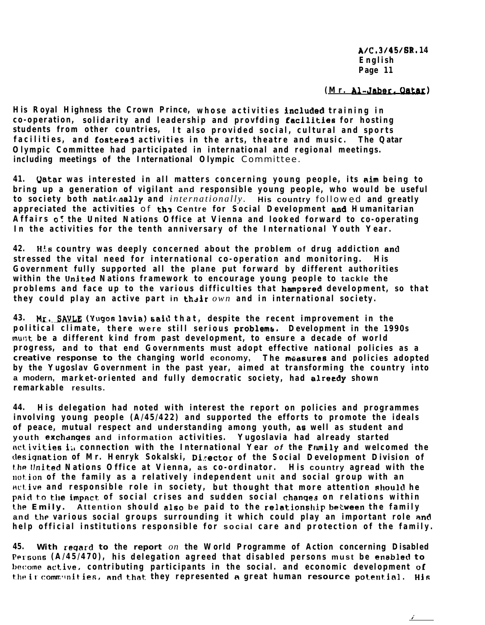**A/C, 3/45/6R. 14 English Page 11**

**/'**

# **(Mr. Al-Wer. Qatar)**

His Royal Highness the Crown Prince, whose activities included training in **co-operation, solidarity and leadership and provfding facilltfes for hosting students from other countries, It also provided social, cultural and sports facilities, and fostered activities in the arts, theatre and music. The Qatar Olympic Committee had participated in international and regional meetings. including meetings of the International Olympic** Committee.

**41. Qatar was interested in all matters concerning young people, its Rim being to bring up a generation of vigilant and responsible young people, who would be useful to society both natic,nally and** *internationally.* **His country** followed **and greatly appreciated the activities** of **th3 Centre for Social Development and Humanitarian Affairs QC the United Nations Office at Vienna and looked forward to co-operating In the activities for the tenth anniversary of the International Youth Year.**

**42. H.!s country was deeply concerned about the problem of drug addiction and** stressed the vital need for international co-operation and monitoring. **Government fully supported all the plane put forward by different authorities within the United Nations framework to encourage young people to tackle the problems and face up to the various difficulties that hampared development, so that they could play an active part in their** *own* **and in international society.**

**43. Mr.,.SA!&E (YugoR lavia) said that, despite the recent improvement in the political climate, there were still serious problems. Development in the 1990s mur;t be a different kind from past development, to ensure a decade of world progress, and to that end Governments must adopt effective national policies as a creative response to the changing world economy, The measures and policies adopted by the Yugoslav Government in the past year, aimed at transforming the country into a modern, market-oriented and fully democratic society, had alreedy shown remarkable results.**

**44. His delegation had noted with interest the report on policies and programmes involving young people (A/45/422) and supported the efforts to promote the ideals of peace, mutual respect and understanding among youth, as well as student and youth exchclnges and information activities. Yugoslavia had already started activities i;, connection with the International Year** *of* **the Ftlmfly and welcomed the clesignation of Mr. Henryk Sokalski, Di.rector of the Social Development Division of f.he IInited Nations Office at Vienna, as co-ordinator. His country agread with the wt.ion of the family as a relatively independent unit and social group with an Hct.ive and responsible role in society, but thought that more attention shoulcl he** paid to the impact of social crises and sudden social changes on relations within the Emily. Attention should also be paid to the relationship between the family **and thp various social groups surrounding it which could play an important role and help official institutions responsible for social care and protection of the family.**

**45. With reqard to the report** *on* **the World Programme of Action concerning Disabled** Persons (A/45/470), his delegation agreed that disabled persons must be enabled to **hcome active, contributing participants in the social. and economic development of** their communities, and that they represented a great human resource potential. His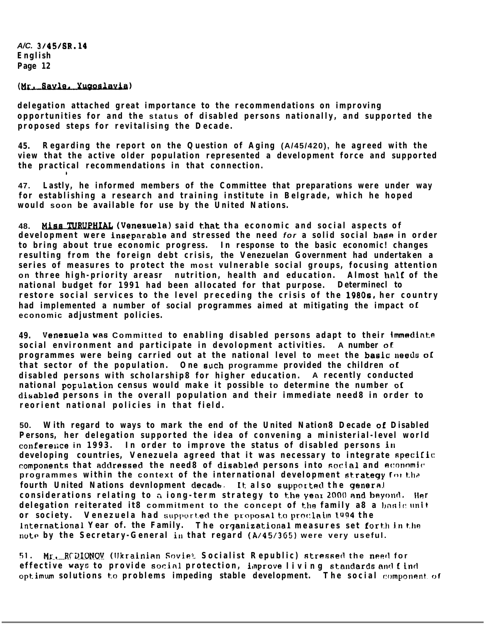### (Mr. Savle, Yugoslavia)

**delegation attached great importance to the recommendations on improving opportunities for and the status of disabled persons nationally, and supported the proposed steps for revitalising the Decade.**

**45. Regarding the report on the Question of Aging (A/45/420), he agreed with the view that the active older population represented a development force and supported the practical recommendations in that connection.**

**47. Lastly, he informed members of the Committee that preparations were under way for establishing a research and training institute in Belgrade, which he hoped would soon be available for use by the United Nations.**

**48. Kiss !IJU&U,WJ.& (Veneeuela) said that tha economic and social aspects of** development were inseparable and stressed the need *for* a solid social base in order **to bring about true economic progress. In response to the basic economic! changes resulting from the foreign debt crisis, the Venezuelan Government had undertaken a series of measures to protect the most vulnerable social groups, focusing attention on three high-priority areasr nutrition, health and education. Almost hnlf of the national budget for 1991 had been allocated for that purpose. Determinecl to restore social services to the level preceding the crisis of the 19808, her country had implemented a number of social programmes aimed at mitigating the impact OI economic adjustment policies.**

**49. VeneZUela WRB Committed to enabling disabled persons adapt to their immediate social environment and participate in devolopment activities. A number oL programmes were being carried out at the national level to meet the basic needs of that sector of the population. One such programme provided the children of disabled persons with scholarship8 for higher education. A recently conducted national population census would make it possible to determine the number of diuabled persons in the overall population and their immediate need8 in order to reorient national policies in that field.**

**50. With regard to ways to mark the end of the United Nation8 Decade oE Disabled Persons, her delegation supported the idea of convening a ministerial-level world** conference in 1993. In order to improve the status of disabled persons in **developing countries, Venezuela agreed that it was necessary to integrate specific:** components that addressed the need8 of disabled persons into social and economic **programmes within the context of the international development strategy** for the fourth United Nations devnlopment decade. It also supported the general **considerations relating to a iong-term strategy to the year 2000 and beyond. Her delegation reiterated it8 commitment to the concept of the family a8 a basic unit or society.** Venezuela had supported the proposal to proclaim 1994 the **international Year of. the Family. The organizational measures set forth in the** note by the Secretary-General in that regard (A/45/365) were very useful.

**51.** Mr. RCDIONOV (Ukrainian Sovie<sup>®</sup> Socialist Republic) stressed the need for **effective wayc to provide socinl protection, ilnprove living 8tandards and <sup>f</sup> infl** optimum solutions to problems impeding stable development. The social component of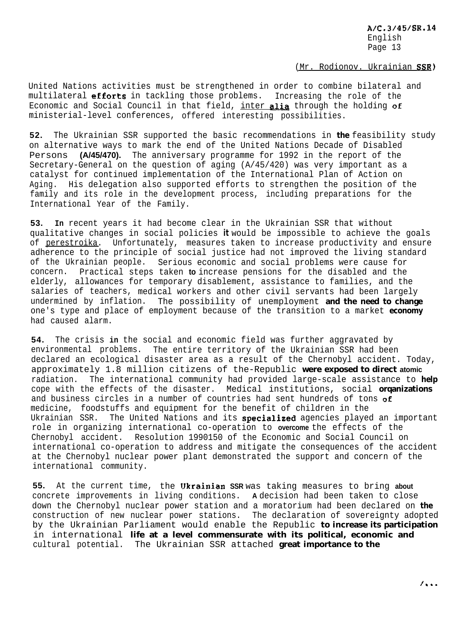(Mr. Rodionov. Ukrainian SSR)

United Nations activities must be strengthened in order to combine bilateral and multilateral efforts in tackling those problems. Increasing the role of the Economic and Social Council in that field, inter alia through the holding of ministerial-level conferences, offered interesting possibilities.

**52.** The Ukrainian SSR supported the basic recommendations in **the** feasibility study on alternative ways to mark the end of the United Nations Decade of Disabled Persons **(A/45/470).** The anniversary programme for 1992 in the report of the Secretary-General on the question of aging (A/45/420) was very important as a catalyst for continued implementation of the International Plan of Action on Aging. His delegation also supported efforts to strengthen the position of the family and its role in the development process, including preparations for the International Year of the Family.

**53. In** recent years it had become clear in the Ukrainian SSR that without qualitative changes in social policies **it** would be impossible to achieve the goals of perestroika. Unfortunately, measures taken to increase productivity and ensure adherence to the principle of social justice had not improved the living standard of the Ukrainian people. Serious economic and social problems were cause for concern. Practical steps taken **to** increase pensions for the disabled and the elderly, allowances for temporary disablement, assistance to families, and the salaries of teachers, medical workers and other civil servants had been largely undermined by inflation. The possibility of unemployment **and the need to change** one's type and place of employment because of the transition to a market **economy** had caused alarm.

**54.** The crisis **in** the social and economic field was further aggravated by environmental problems. The entire territory of the Ukrainian SSR had been declared an ecological disaster area as a result of the Chernobyl accident. Today, approximately 1.8 million citizens of the-Republic **were exposed to direct atomic** radiation. The international community had provided large-scale assistance to **help** cope with the effects of the disaster. Medical institutions, social **orqanizations** and business circles in a number of countries had sent hundreds of tons  $of$ medicine, foodstuffs and equipment for the benefit of children in the Ukrainian SSR. The United Nations and its specialized agencies played an important role in organizing international co-operation to **overcome** the effects of the Chernobyl accident. Resolution 1990150 of the Economic and Social Council on international co-operation to address and mitigate the consequences of the accident at the Chernobyl nuclear power plant demonstrated the support and concern of the international community.

**55.** At the current time, the Clkrainian **SSR** was taking measures to bring **about** concrete improvements in living conditions. **A** decision had been taken to close down the Chernobyl nuclear power station and a moratorium had been declared on **the** construction of new nuclear power stations. The declaration of sovereignty adopted by the Ukrainian Parliament would enable the Republic **to increase its participation** in international **life at a level commensurate with its political, economic and** cultural potential. The Ukrainian SSR attached **great importance to the**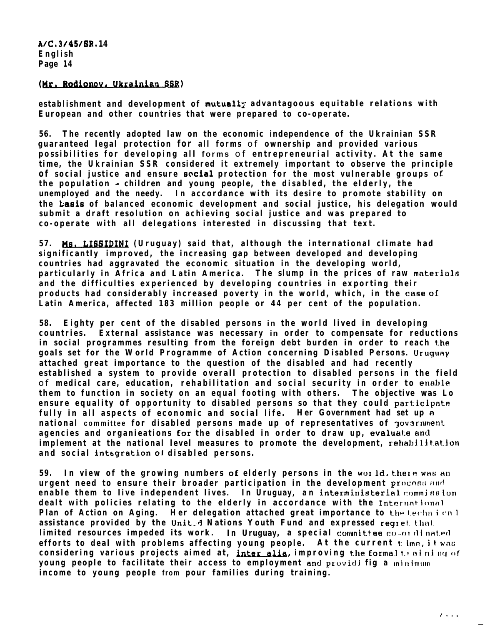## **(Mr. Rodionov, Ukrainien SSR)**

**establishment and development of mutuall; advantagoous equitable relations with European and other countries that were prepared to co-operate.**

**56. The recently adopted law on the economic independence of the Ukrainian SSR guaranteed legal protection for all forms** of **ownership and provided various possibilities for developing all forms** of **entrepreneurial activity. At the same time, the Ukrainian SSR considered it extremely important to observe the principle of social justice and ensure social protection for the most vulnerable groups oC the population - children and young people, the disabled, the elderly, the unemployed and the needy. In accordance with its desire to promote stability on the Lasis of balanced economic development and social justice, his delegation would submit a draft resolution on achieving social justice and was prepared to co-operate with all delegations interested in discussing that text.**

**57. Me. (Uruguay) said that, although the international climate had significantly improved, the increasing gap between developed and developing countries had aggravated the economic situation in the developing world,** particularly in Africa and Latin America. The slump in the prices of raw materials **and the difficulties experienced by developing countries in exporting their products had considerably increased poverty in the world, which, in the case oI: Latin America, affected 183 million people or 44 per cent of the population.**

**58. Eighty per cent of the disabled persons in the world lived in developing countries. External assistance was necessary in order to compensate for reductions** in social programmes resulting from the foreign debt burden in order to reach the **goals set for the World Programme of Action concerning Disabled Persons. Uruguny attached great importance to the question of the disabled and had recently established a system to provide overall protection to disabled persons in the field** of medical care, education, rehabilitation and social security in order to enable **them to function in society on an equal footing with others. The objective was Lo ensure equality of opportunity to disabled persons so that they could participnte fully in all aspects of economic and social life. Her Government had set up R national committee for disabled persons made up of representatives of**  $\tau$ **ov3rnment** agencies and organieations for the disabled in order to draw up, evaluate and **implement at the national level measures to promote the development, rehabilitation and social integration ot disabled persons.**

**59.** In view of the growing numbers of elderly persons in the world, there was an urgent need to ensure their broader participation in the development procoss and **enable them to live independent lives. In Uruguay, an interministerial commission dealt with policies relating to the elderly in accordance with the International Plan of Action on Aging. IHer delegation attached great importance to the technical** assistance provided by the United Nations Youth Fund and expressed regret. that. **limited resources impeded its work. In Uruguay, a special committee co-or dinated efforts to deal with problems affecting young people. At the current t: i.nn, <sup>i</sup> <sup>t</sup> wnl; considering various projects aimed at, inter alia, improving the formal that ning of young people to facilitate their access to employment and providi fig a** *minimum* **income to young people from pour families during training.**

 $1.1.1$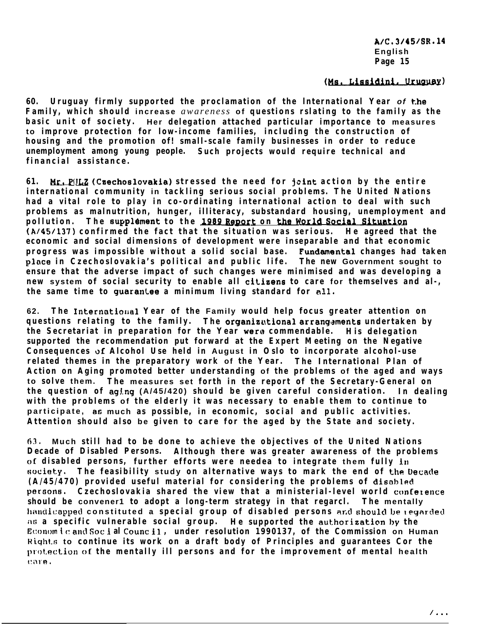### (Ms. Lissidini, Uruguay)

**60. Uruguay firmly supported the proclamation of the lnternational Year** *of* **the Family, which should increase** *awareness* **of questions rslating to the family as the basic unit of society. Her delegation attached particular importance to measures to improve protection for low-income families, including the construction of housing and the promotion of! small-scale family businesses in order to reduce unemployment among young people. Such projects would require technical and financial assistance.**

**61. Mr. Pfm (Caechoslovakia) stressed the need for jcint action by the entire international community in tackling serious social problems. The United Nations had a vital role to play in co-ordinating international action to deal with such problems as malnutrition, hunger, illiteracy, substandard housing, unemployment pollution. The supplement to the 1989 <b>Report on the World S problems as malnutrition, hunger, illiteracy, substandard housing, unemployment and (A/45/137) confirmed the fact that the situation was serious. He agreed that the economic and social dimensions of development were inseparable and that economic progress was impossible without a solid social base. Fundemental changes had taken place in Czechoslovakia's political and public life. The new Government sought to ensure that the adverse impact of such changes were minimised and was developing a new system of social security to enable all citiaens to care for themselves and al-,** the same time to guarantee a minimum living standard for all.

**62. The Internatiorlal Year of the Family would help focus greater attention on questions relating to the family. The organizational arrangements undertaken by the Secretariat in preparation for the Year wero commendable. His delegation supported the recommendation put forward at the Expert Meeting on the Negative Consequences of Alcohol Use held in August in Oslo to incorporate alcohol-use related themes in the preparatory work of the Year. The International Plan of Action on Aging promoted better understanding of the problems of the aged and ways to solve them. The measures set forth in the report of the Secretary-General on the question of aging (A/45/420) should be given careful consideration. In dealing with the problems of the elderly it was necessary to enable them to continue to participate, as much as possible, in economic, social and public activities. Attention should also be given to care for the aged by the State and society.**

**63. Much still had to be done to achieve the objectives of the United Nations Decade of Disabled Persons. Although there was greater awareness of the problems 0C disabled persons, further efforts were needea to integrate them fully in society. The feasibility study on alternative ways to mark the end of the Uecacle (A/45/470) provided useful material for considering the problems of disohled persons. Czechoslovakia shared the view that a ministerial-level world confetence should be convener1 to adopt a long-term strategy in that regarcl. The mentally tli+nilicapped constituted a special group of disabled persons ar,cl should he regc7rcled**  $\overline{\text{AB}}$  **a specific vulnerable social group.** He supported the authorization by the **Econcm <sup>1</sup> C: and Sot i al Count 11 , under resolution 1990137, of the Commission on Human <sup>H</sup> i.qht.s to continue its work on a draft body of Principles and guarantees Cor the prot2ec:t.ion of the mentally ill persons and for the improvement of mental health l!i3l'F!,**